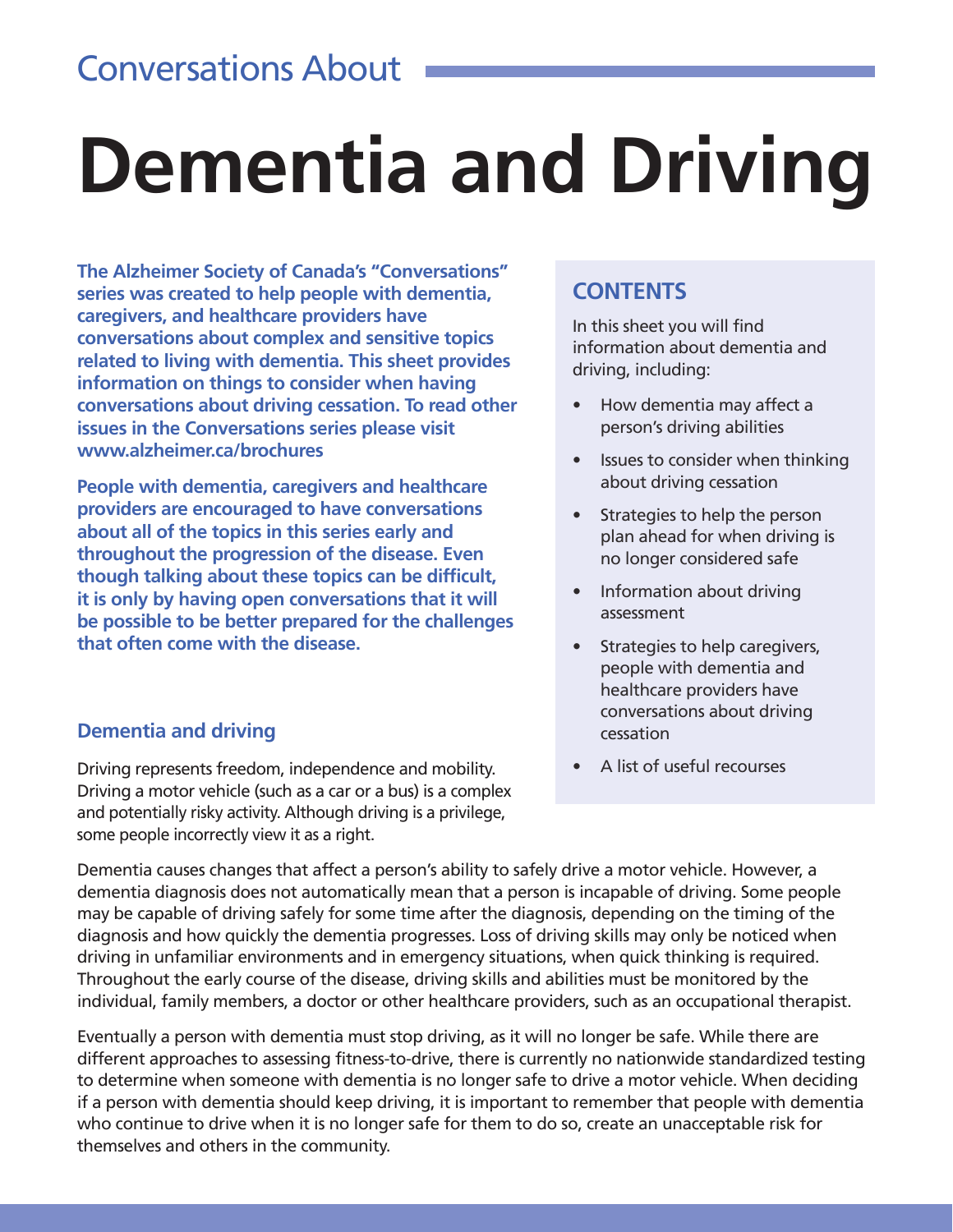### Conversations About

# **Dementia and Driving**

**The Alzheimer Society of Canada's "Conversations" series was created to help people with dementia, caregivers, and healthcare providers have conversations about complex and sensitive topics related to living with dementia. This sheet provides information on things to consider when having conversations about driving cessation. To read other issues in the Conversations series please visit www.alzheimer.ca/brochures**

**People with dementia, caregivers and healthcare providers are encouraged to have conversations about all of the topics in this series early and throughout the progression of the disease. Even though talking about these topics can be difficult, it is only by having open conversations that it will be possible to be better prepared for the challenges that often come with the disease.** 

#### **CONTENTS**

In this sheet you will find information about dementia and driving, including:

- How dementia may affect a person's driving abilities
- Issues to consider when thinking about driving cessation
- Strategies to help the person plan ahead for when driving is no longer considered safe
- Information about driving assessment
- Strategies to help caregivers, people with dementia and healthcare providers have conversations about driving cessation
- A list of useful recourses

#### **Dementia and driving**

Driving represents freedom, independence and mobility. Driving a motor vehicle (such as a car or a bus) is a complex and potentially risky activity. Although driving is a privilege, some people incorrectly view it as a right.

Dementia causes changes that affect a person's ability to safely drive a motor vehicle. However, a dementia diagnosis does not automatically mean that a person is incapable of driving. Some people may be capable of driving safely for some time after the diagnosis, depending on the timing of the diagnosis and how quickly the dementia progresses. Loss of driving skills may only be noticed when driving in unfamiliar environments and in emergency situations, when quick thinking is required. Throughout the early course of the disease, driving skills and abilities must be monitored by the individual, family members, a doctor or other healthcare providers, such as an occupational therapist.

Eventually a person with dementia must stop driving, as it will no longer be safe. While there are different approaches to assessing fitness-to-drive, there is currently no nationwide standardized testing to determine when someone with dementia is no longer safe to drive a motor vehicle. When deciding if a person with dementia should keep driving, it is important to remember that people with dementia who continue to drive when it is no longer safe for them to do so, create an unacceptable risk for themselves and others in the community.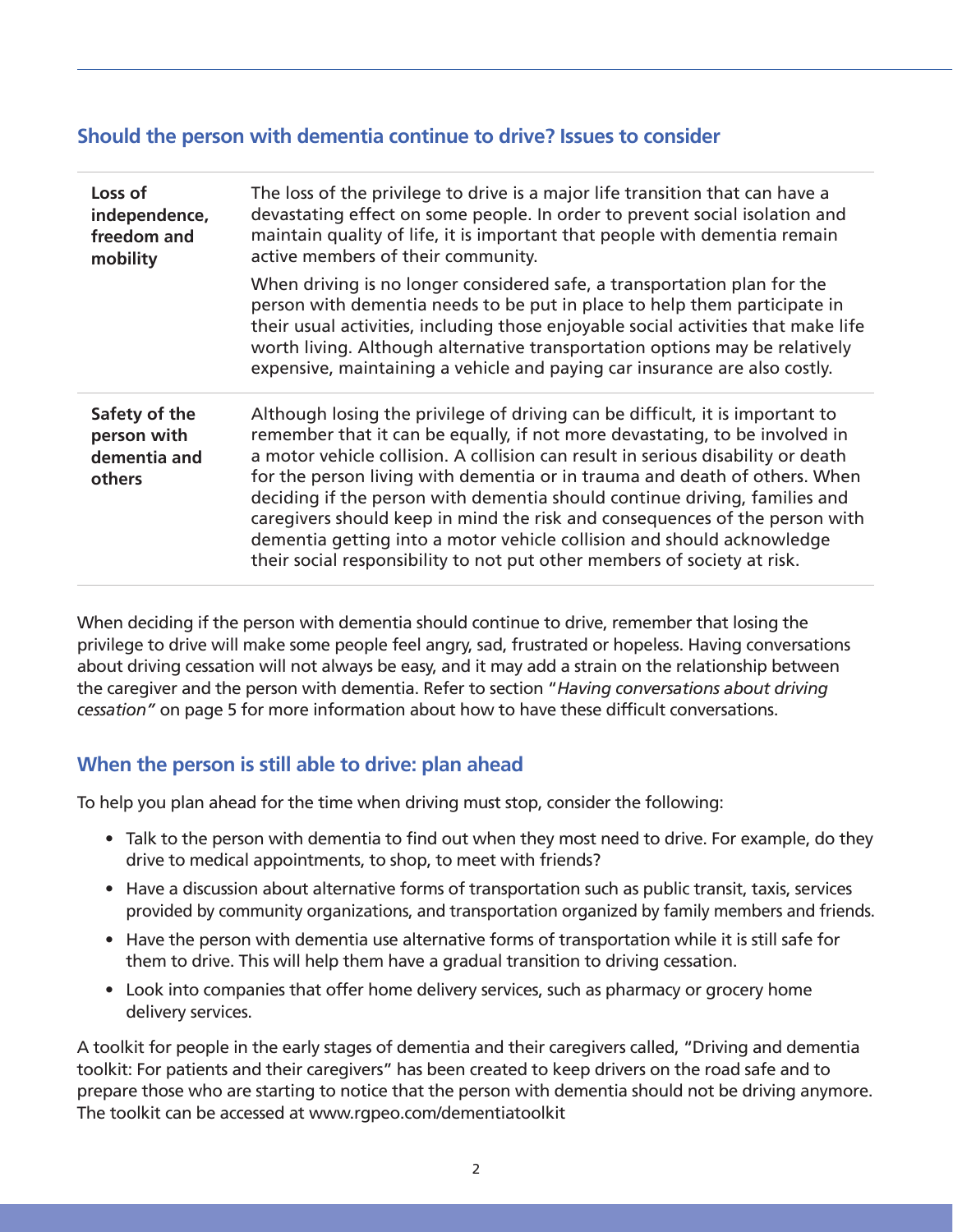#### **Should the person with dementia continue to drive? Issues to consider**

| Loss of<br>independence,<br>freedom and<br>mobility    | The loss of the privilege to drive is a major life transition that can have a<br>devastating effect on some people. In order to prevent social isolation and<br>maintain quality of life, it is important that people with dementia remain<br>active members of their community.                                                                                                                                                                                                                                                                                                                                                                  |  |  |
|--------------------------------------------------------|---------------------------------------------------------------------------------------------------------------------------------------------------------------------------------------------------------------------------------------------------------------------------------------------------------------------------------------------------------------------------------------------------------------------------------------------------------------------------------------------------------------------------------------------------------------------------------------------------------------------------------------------------|--|--|
|                                                        | When driving is no longer considered safe, a transportation plan for the<br>person with dementia needs to be put in place to help them participate in<br>their usual activities, including those enjoyable social activities that make life<br>worth living. Although alternative transportation options may be relatively<br>expensive, maintaining a vehicle and paying car insurance are also costly.                                                                                                                                                                                                                                          |  |  |
| Safety of the<br>person with<br>dementia and<br>others | Although losing the privilege of driving can be difficult, it is important to<br>remember that it can be equally, if not more devastating, to be involved in<br>a motor vehicle collision. A collision can result in serious disability or death<br>for the person living with dementia or in trauma and death of others. When<br>deciding if the person with dementia should continue driving, families and<br>caregivers should keep in mind the risk and consequences of the person with<br>dementia getting into a motor vehicle collision and should acknowledge<br>their social responsibility to not put other members of society at risk. |  |  |

When deciding if the person with dementia should continue to drive, remember that losing the privilege to drive will make some people feel angry, sad, frustrated or hopeless. Having conversations about driving cessation will not always be easy, and it may add a strain on the relationship between the caregiver and the person with dementia. Refer to section "*Having conversations about driving cessation"* on page 5 for more information about how to have these difficult conversations.

#### **When the person is still able to drive: plan ahead**

To help you plan ahead for the time when driving must stop, consider the following:

- Talk to the person with dementia to find out when they most need to drive. For example, do they drive to medical appointments, to shop, to meet with friends?
- Have a discussion about alternative forms of transportation such as public transit, taxis, services provided by community organizations, and transportation organized by family members and friends.
- Have the person with dementia use alternative forms of transportation while it is still safe for them to drive. This will help them have a gradual transition to driving cessation.
- Look into companies that offer home delivery services, such as pharmacy or grocery home delivery services.

A toolkit for people in the early stages of dementia and their caregivers called, "Driving and dementia toolkit: For patients and their caregivers" has been created to keep drivers on the road safe and to prepare those who are starting to notice that the person with dementia should not be driving anymore. The toolkit can be accessed at www.rgpeo.com/dementiatoolkit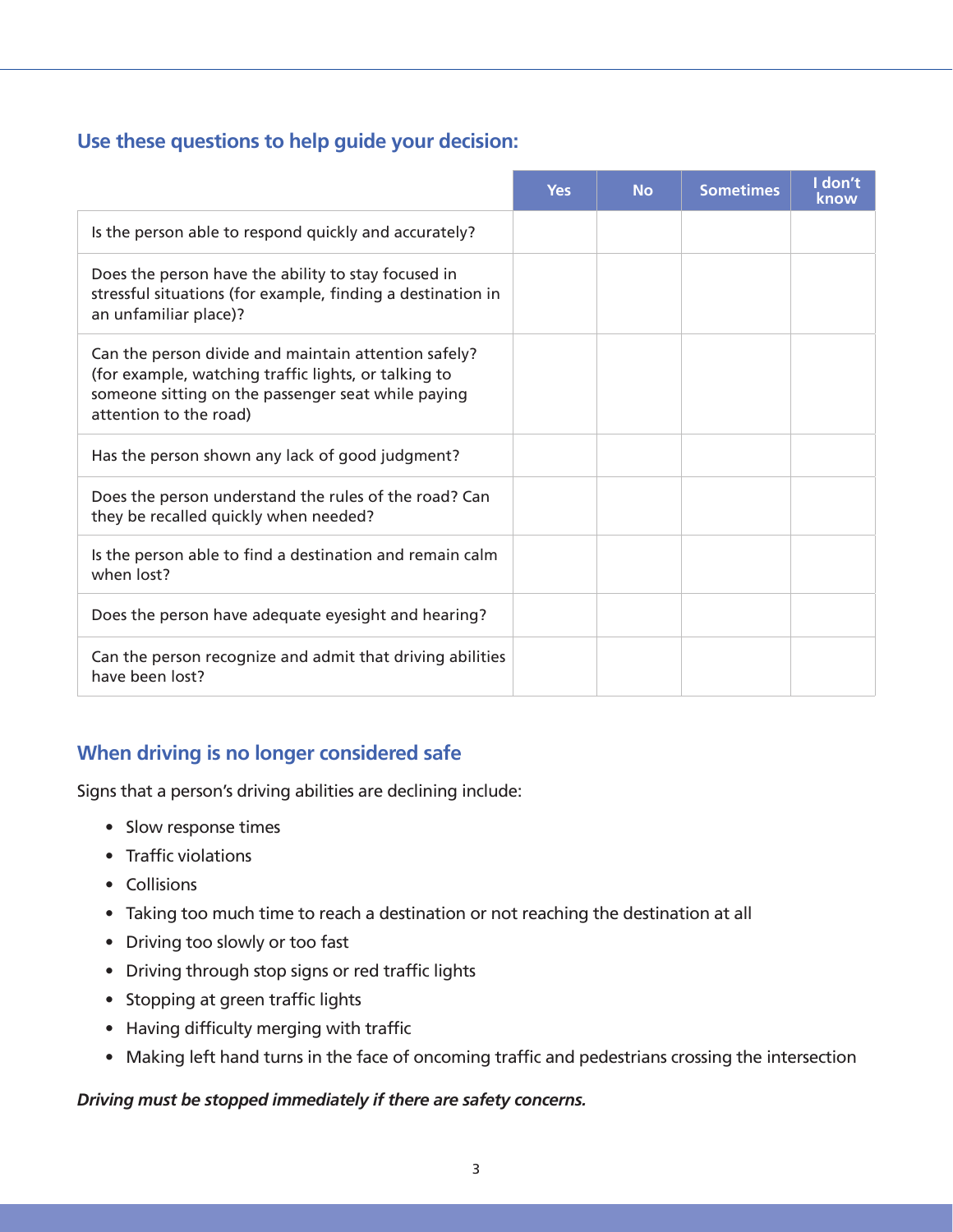#### **Use these questions to help guide your decision:**

|                                                                                                                                                                                              | <b>Yes</b> | <b>No</b> | <b>Sometimes</b> | I don't<br>know |
|----------------------------------------------------------------------------------------------------------------------------------------------------------------------------------------------|------------|-----------|------------------|-----------------|
| Is the person able to respond quickly and accurately?                                                                                                                                        |            |           |                  |                 |
| Does the person have the ability to stay focused in<br>stressful situations (for example, finding a destination in<br>an unfamiliar place)?                                                  |            |           |                  |                 |
| Can the person divide and maintain attention safely?<br>(for example, watching traffic lights, or talking to<br>someone sitting on the passenger seat while paying<br>attention to the road) |            |           |                  |                 |
| Has the person shown any lack of good judgment?                                                                                                                                              |            |           |                  |                 |
| Does the person understand the rules of the road? Can<br>they be recalled quickly when needed?                                                                                               |            |           |                  |                 |
| Is the person able to find a destination and remain calm<br>when lost?                                                                                                                       |            |           |                  |                 |
| Does the person have adequate eyesight and hearing?                                                                                                                                          |            |           |                  |                 |
| Can the person recognize and admit that driving abilities<br>have been lost?                                                                                                                 |            |           |                  |                 |

#### **When driving is no longer considered safe**

Signs that a person's driving abilities are declining include:

- Slow response times
- Traffic violations
- Collisions
- Taking too much time to reach a destination or not reaching the destination at all
- Driving too slowly or too fast
- Driving through stop signs or red traffic lights
- Stopping at green traffic lights
- Having difficulty merging with traffic
- Making left hand turns in the face of oncoming traffic and pedestrians crossing the intersection

#### *Driving must be stopped immediately if there are safety concerns.*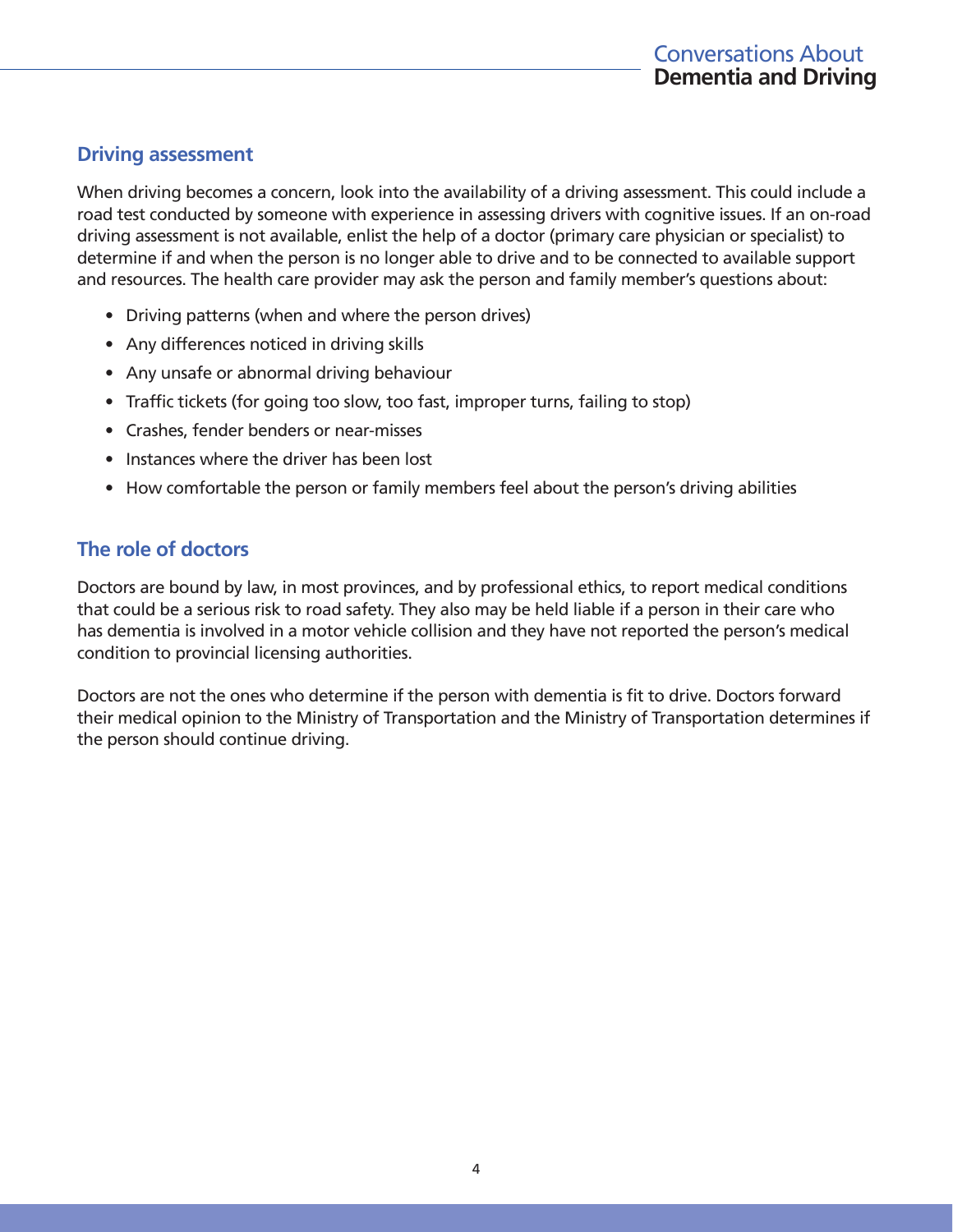#### **Driving assessment**

When driving becomes a concern, look into the availability of a driving assessment. This could include a road test conducted by someone with experience in assessing drivers with cognitive issues. If an on-road driving assessment is not available, enlist the help of a doctor (primary care physician or specialist) to determine if and when the person is no longer able to drive and to be connected to available support and resources. The health care provider may ask the person and family member's questions about:

- Driving patterns (when and where the person drives)
- Any differences noticed in driving skills
- Any unsafe or abnormal driving behaviour
- Traffic tickets (for going too slow, too fast, improper turns, failing to stop)
- Crashes, fender benders or near-misses
- Instances where the driver has been lost
- How comfortable the person or family members feel about the person's driving abilities

#### **The role of doctors**

Doctors are bound by law, in most provinces, and by professional ethics, to report medical conditions that could be a serious risk to road safety. They also may be held liable if a person in their care who has dementia is involved in a motor vehicle collision and they have not reported the person's medical condition to provincial licensing authorities.

Doctors are not the ones who determine if the person with dementia is fit to drive. Doctors forward their medical opinion to the Ministry of Transportation and the Ministry of Transportation determines if the person should continue driving.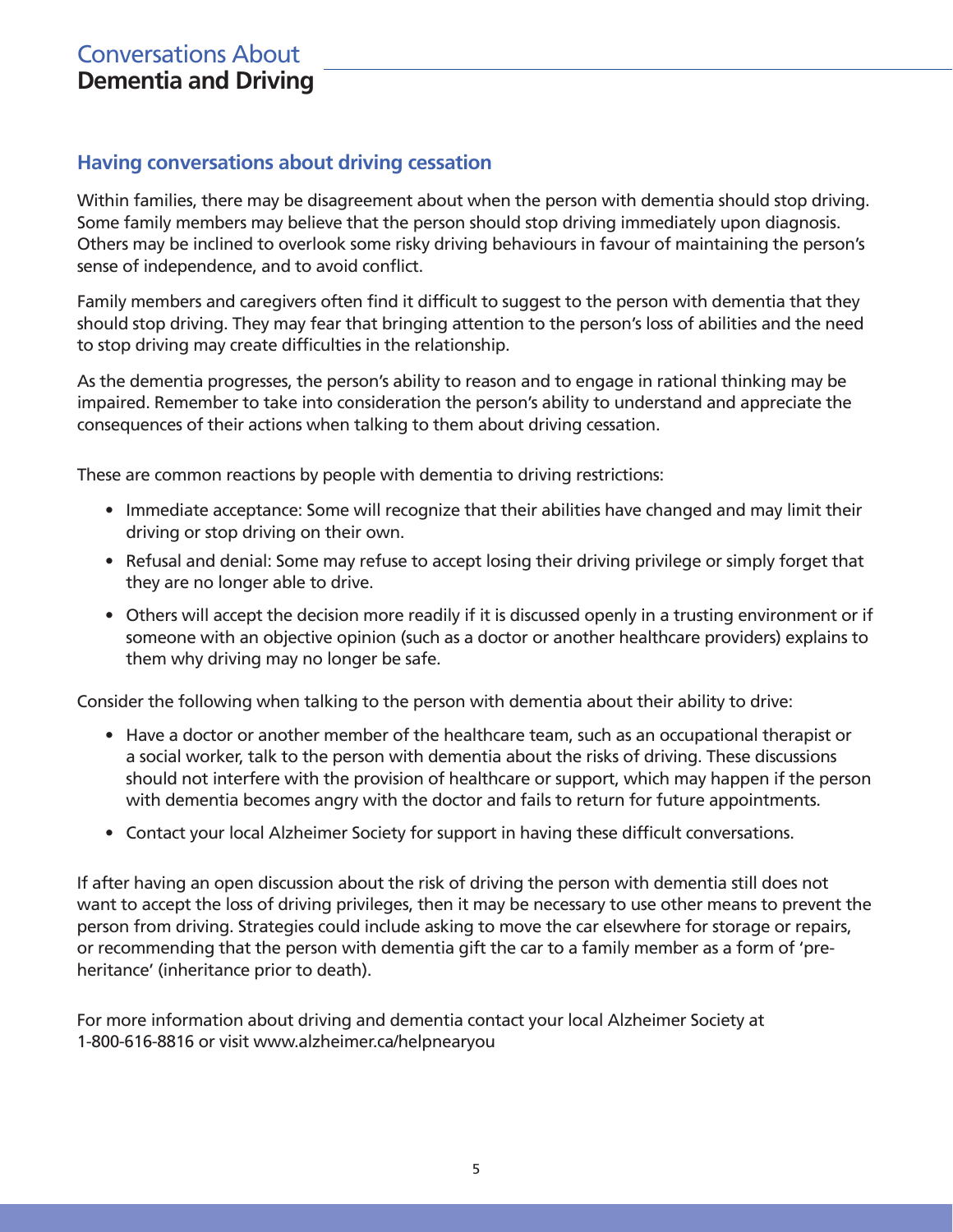#### Conversations About **Dementia and Driving**

#### **Having conversations about driving cessation**

Within families, there may be disagreement about when the person with dementia should stop driving. Some family members may believe that the person should stop driving immediately upon diagnosis. Others may be inclined to overlook some risky driving behaviours in favour of maintaining the person's sense of independence, and to avoid conflict.

Family members and caregivers often find it difficult to suggest to the person with dementia that they should stop driving. They may fear that bringing attention to the person's loss of abilities and the need to stop driving may create difficulties in the relationship.

As the dementia progresses, the person's ability to reason and to engage in rational thinking may be impaired. Remember to take into consideration the person's ability to understand and appreciate the consequences of their actions when talking to them about driving cessation.

These are common reactions by people with dementia to driving restrictions:

- Immediate acceptance: Some will recognize that their abilities have changed and may limit their driving or stop driving on their own.
- Refusal and denial: Some may refuse to accept losing their driving privilege or simply forget that they are no longer able to drive.
- Others will accept the decision more readily if it is discussed openly in a trusting environment or if someone with an objective opinion (such as a doctor or another healthcare providers) explains to them why driving may no longer be safe.

Consider the following when talking to the person with dementia about their ability to drive:

- Have a doctor or another member of the healthcare team, such as an occupational therapist or a social worker, talk to the person with dementia about the risks of driving. These discussions should not interfere with the provision of healthcare or support, which may happen if the person with dementia becomes angry with the doctor and fails to return for future appointments.
- Contact your local Alzheimer Society for support in having these difficult conversations.

If after having an open discussion about the risk of driving the person with dementia still does not want to accept the loss of driving privileges, then it may be necessary to use other means to prevent the person from driving. Strategies could include asking to move the car elsewhere for storage or repairs, or recommending that the person with dementia gift the car to a family member as a form of 'preheritance' (inheritance prior to death).

For more information about driving and dementia contact your local Alzheimer Society at 1-800-616-8816 or visit www.alzheimer.ca/helpnearyou